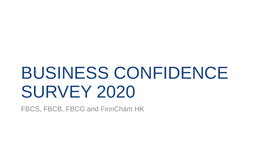# BUSINESS CONFIDENCE SURVEY 2020

FBCS, FBCB, FBCG and FinnCham HK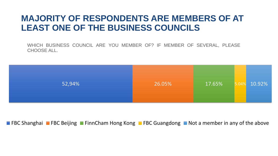#### **MAJORITY OF RESPONDENTS ARE MEMBERS OF AT LEAST ONE OF THE BUSINESS COUNCILS**

WHICH BUSINESS COUNCIL ARE YOU MEMBER OF? IF MEMBER OF SEVERAL, PLEASE CHOOSE ALL.



**FIFAC Shanghai** FBC Beijing FinnCham Hong Kong FBC Guangdong Not a member in any of the above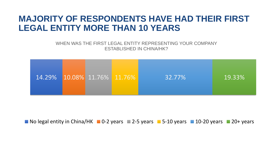#### **MAJORITY OF RESPONDENTS HAVE HAD THEIR FIRST LEGAL ENTITY MORE THAN 10 YEARS**

WHEN WAS THE FIRST LEGAL ENTITY REPRESENTING YOUR COMPANY ESTABLISHED IN CHINA/HK?



 $\blacksquare$  No legal entity in China/HK  $\blacksquare$  0-2 years  $\blacksquare$  2-5 years  $\blacksquare$  5-10 years  $\blacksquare$  10-20 years  $\blacksquare$  20+ years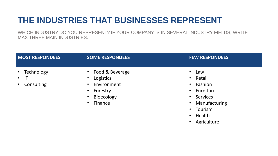#### **THE INDUSTRIES THAT BUSINESSES REPRESENT**

WHICH INDUSTRY DO YOU REPRESENT? IF YOUR COMPANY IS IN SEVERAL INDUSTRY FIELDS, WRITE MAX THREE MAIN INDUSTRIES.

| <b>MOST RESPONDEES</b>                                           | <b>SOME RESPONDEES</b>                                                                          | <b>FEW RESPONDEES</b>                                                                                                                                                                         |
|------------------------------------------------------------------|-------------------------------------------------------------------------------------------------|-----------------------------------------------------------------------------------------------------------------------------------------------------------------------------------------------|
| Technology<br>$\bullet$<br>$\cdot$ IT<br>Consulting<br>$\bullet$ | • Food & Beverage<br>Logistics<br>Environment<br>Forestry<br>$\bullet$<br>Bioecology<br>Finance | Law<br>• Retail<br>Fashion<br>$\bullet$<br>Furniture<br>$\bullet$<br><b>Services</b><br>$\bullet$<br>Manufacturing<br>$\bullet$<br>Tourism<br>$\bullet$<br>Health<br>$\bullet$<br>Agriculture |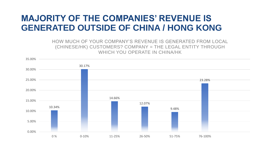#### **MAJORITY OF THE COMPANIES' REVENUE IS GENERATED OUTSIDE OF CHINA / HONG KONG**

HOW MUCH OF YOUR COMPANY'S REVENUE IS GENERATED FROM LOCAL (CHINESE/HK) CUSTOMERS? COMPANY = THE LEGAL ENTITY THROUGH WHICH YOU OPERATE IN CHINA/HK

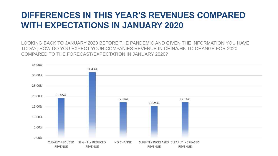#### **DIFFERENCES IN THIS YEAR'S REVENUES COMPARED WITH EXPECTATIONS IN JANUARY 2020**

LOOKING BACK TO JANUARY 2020 BEFORE THE PANDEMIC AND GIVEN THE INFORMATION YOU HAVE TODAY; HOW DO YOU EXPECT YOUR COMPANIES REVENUE IN CHINA/HK TO CHANGE FOR 2020 COMPARED TO THE FORECAST/EXPECTATION IN JANUARY 2020?

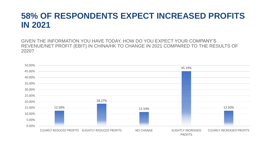#### **58% OF RESPONDENTS EXPECT INCREASED PROFITS IN 2021**

GIVEN THE INFORMATION YOU HAVE TODAY, HOW DO YOU EXPECT YOUR COMPANY'S REVENUE/NET PROFIT (EBIT) IN CHINA/HK TO CHANGE IN 2021 COMPARED TO THE RESULTS OF 2020?

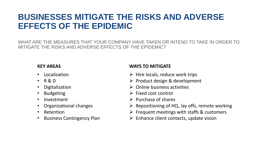#### **BUSINESSES MITIGATE THE RISKS AND ADVERSE EFFECTS OF THE EPIDEMIC**

WHAT ARE THE MEASURES THAT YOUR COMPANY HAVE TAKEN OR INTEND TO TAKE IN ORDER TO MITIGATE THE RISKS AND ADVERSE EFFECTS OF THE EPIDEMIC?

- **Localization**
- R & D
- Digitalization
- Budgeting
- Investment
- Organizational changes
- Retention
- Business Contingency Plan

#### **KEY AREAS WAYS TO MITIGATE**

- $\triangleright$  Hire locals, reduce work trips
- $\triangleright$  Product design & development
- ➢ Online business activities
- $\triangleright$  Fixed cost control
- $\triangleright$  Purchase of shares
- ➢ Repositioning of HQ, lay offs, remote working
- $\triangleright$  Frequent meetings with staffs & customers
- $\triangleright$  Enhance client contacts, update vision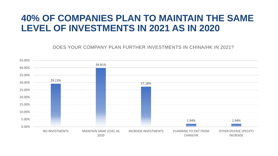#### **40% OF COMPANIES PLAN TO MAINTAIN THE SAME LEVEL OF INVESTMENTS IN 2021 AS IN 2020**

DOES YOUR COMPANY PLAN FURTHER INVESTMENTS IN CHINA/HK IN 2021?

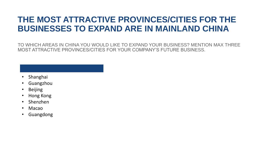#### **THE MOST ATTRACTIVE PROVINCES/CITIES FOR THE BUSINESSES TO EXPAND ARE IN MAINLAND CHINA**

TO WHICH AREAS IN CHINA YOU WOULD LIKE TO EXPAND YOUR BUSINESS? MENTION MAX THREE MOST ATTRACTIVE PROVINCES/CITIES FOR YOUR COMPANY'S FUTURE BUSINESS.

- Shanghai
- Guangzhou
- Beijing
- Hong Kong
- Shenzhen
- Macao
- Guangdong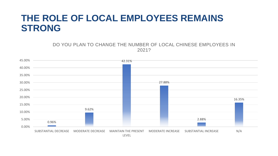### **THE ROLE OF LOCAL EMPLOYEES REMAINS STRONG**

DO YOU PLAN TO CHANGE THE NUMBER OF LOCAL CHINESE EMPLOYEES IN 2021?

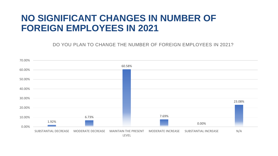#### **NO SIGNIFICANT CHANGES IN NUMBER OF FOREIGN EMPLOYEES IN 2021**

DO YOU PLAN TO CHANGE THE NUMBER OF FOREIGN EMPLOYEES IN 2021?

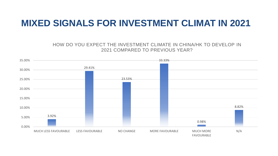#### **MIXED SIGNALS FOR INVESTMENT CLIMAT IN 2021**

HOW DO YOU EXPECT THE INVESTMENT CLIMATE IN CHINA/HK TO DEVELOP IN 2021 COMPARED TO PREVIOUS YEAR?

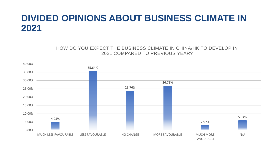## **DIVIDED OPINIONS ABOUT BUSINESS CLIMATE IN 2021**

HOW DO YOU EXPECT THE BUSINESS CLIMATE IN CHINA/HK TO DEVELOP IN 2021 COMPARED TO PREVIOUS YEAR?

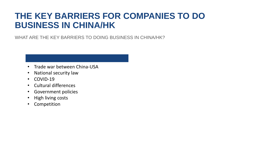#### **THE KEY BARRIERS FOR COMPANIES TO DO BUSINESS IN CHINA/HK**

WHAT ARE THE KEY BARRIERS TO DOING BUSINESS IN CHINA/HK?

- Trade war between China-USA
- National security law
- COVID-19
- Cultural differences
- Government policies
- High living costs
- Competition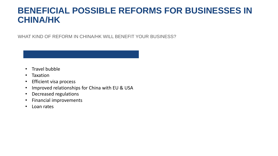#### **BENEFICIAL POSSIBLE REFORMS FOR BUSINESSES IN CHINA/HK**

WHAT KIND OF REFORM IN CHINA/HK WILL BENEFIT YOUR BUSINESS?

- Travel bubble
- Taxation
- Efficient visa process
- Improved relationships for China with EU & USA
- Decreased regulations
- Financial improvements
- Loan rates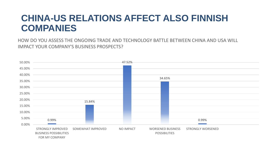### **CHINA-US RELATIONS AFFECT ALSO FINNISH COMPANIES**

HOW DO YOU ASSESS THE ONGOING TRADE AND TECHNOLOGY BATTLE BETWEEN CHINA AND USA WILL IMPACT YOUR COMPANY'S BUSINESS PROSPECTS?

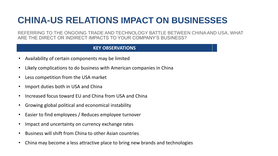# **CHINA-US RELATIONS IMPACT ON BUSINESSES**

REFERRING TO THE ONGOING TRADE AND TECHNOLOGY BATTLE BETWEEN CHINA AND USA, WHAT ARE THE DIRECT OR INDIRECT IMPACTS TO YOUR COMPANY'S BUSINESS?

#### **KEY OBSERVATIONS**

- Availability of certain components may be limited
- Likely complications to do business with American companies in China
- Less competition from the USA market
- Import duties both in USA and China
- Increased focus toward EU and China from USA and China
- Growing global political and economical instability
- Easier to find employees / Reduces employee turnover
- Impact and uncertainty on currency exchange rates
- Business will shift from China to other Asian countries
- China may become a less attractive place to bring new brands and technologies